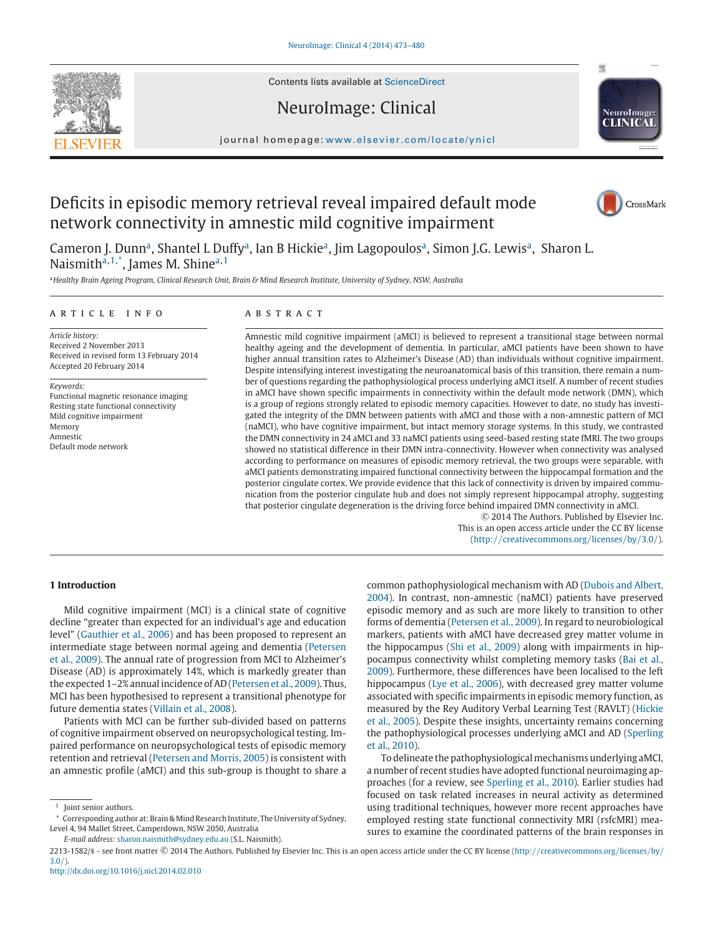

Contents lists available at [ScienceDirect](http://www.sciencedirect.com/science/journal/22131582)

# NeuroImage: Clinical



journal homepage: www.elsevier.[com/locate/yni](http://www.elsevier.com/locate/ynicl)cl

# Deficits in episodic memory retrieval reveal impaired default mode network connectivity in amnestic mild cognitive impairment



Cameron J. Dunn<sup>a</sup>, Shantel L Duffy<sup>a</sup>, Ian B Hickie<sup>a</sup>, Jim Lagopoulos<sup>a</sup>, Simon J.G. Lewis<sup>a</sup>, Sharon L. Naismith<sup>a,1,\*</sup>, James M. Shine<sup>a,1</sup>

a Healthy Brain Ageing Program, Clinical Research Unit, Brain & Mind Research Institute, University of Sydney, NSW, Australia

## a r t i c l e i n f o

*Article history:* Received 2 November 2013 Received in revised form 13 February 2014 Accepted 20 February 2014

*Keywords:* Functional magnetic resonance imaging Resting state functional connectivity Mild cognitive impairment Memory Amnestic Default mode network

## a b s t r a c t

Amnestic mild cognitive impairment (aMCI) is believed to represent a transitional stage between normal healthy ageing and the development of dementia. In particular, aMCI patients have been shown to have higher annual transition rates to Alzheimer's Disease (AD) than individuals without cognitive impairment. Despite intensifying interest investigating the neuroanatomical basis of this transition, there remain a number of questions regarding the pathophysiological process underlying aMCI itself. A number of recent studies in aMCI have shown specific impairments in connectivity within the default mode network (DMN), which is a group of regions strongly related to episodic memory capacities. However to date, no study has investigated the integrity of the DMN between patients with aMCI and those with a non-amnestic pattern of MCI (naMCI), who have cognitive impairment, but intact memory storage systems. In this study, we contrasted the DMN connectivity in 24 aMCI and 33 naMCI patients using seed-based resting state fMRI. The two groups showed no statistical difference in their DMN intra-connectivity. However when connectivity was analysed according to performance on measures of episodic memory retrieval, the two groups were separable, with aMCI patients demonstrating impaired functional connectivity between the hippocampal formation and the posterior cingulate cortex. We provide evidence that this lack of connectivity is driven by impaired communication from the posterior cingulate hub and does not simply represent hippocampal atrophy, suggesting that posterior cingulate degeneration is the driving force behind impaired DMN connectivity in aMCI.

 $©$  2014 The Authors. Published by Elsevier Inc. This is an open access article under the CC BY license (http://[creativecommons.org](http://creativecommons.org/licenses/by/3.0/)/licenses/by/3.0/).

## **1 Introduction**

Mild cognitive impairment (MCI) is a clinical state of cognitive decline "greater than expected for an individual's age and education level" [\(Gauthier](#page-6-0) et al., 2006) and has been proposed to represent an [intermediate](#page-6-0) stage between normal ageing and dementia (Petersen et al., 2009). The annual rate of progression from MCI to Alzheimer's Disease (AD) is approximately 14%, which is markedly greater than the expected 1-2% annual incidence of AD [\(Petersen](#page-6-0) et al., 2009). Thus, MCI has been hypothesised to represent a transitional phenotype for future dementia states [\(Villain](#page-6-0) et al., 2008).

Patients with MCI can be further sub-divided based on patterns of cognitive impairment observed on neuropsychological testing. Impaired performance on neuropsychological tests of episodic memory retention and retrieval [\(Petersen](#page-6-0) and Morris, 2005) is consistent with an amnestic profile (aMCI) and this sub-group is thought to share a common [pathophysiological](#page-6-0) mechanism with AD (Dubois and Albert, 2004). In contrast, non-amnestic (naMCI) patients have preserved episodic memory and as such are more likely to transition to other forms of dementia [\(Petersen](#page-6-0) et al., 2009). In regard to neurobiological markers, patients with aMCI have decreased grey matter volume in the hippocampus (Shi et al., [2009\)](#page-6-0) along with impairments in hippocampus connectivity whilst completing memory tasks (Bai et al., 2009). [Furthermore,](#page-5-0) these differences have been localised to the left hippocampus (Lye et al., [2006\)](#page-6-0), with decreased grey matter volume associated with specific impairments in episodic memory function, as measured by the Rey Auditory Verbal Learning Test (RAVLT) (Hickie et al., 2005). Despite these insights, [uncertainty](#page-6-0) remains concerning the [pathophysiological](#page-6-0) processes underlying aMCI and AD (Sperling et al., 2010).

To delineate the pathophysiological mechanisms underlying aMCI, a number of recent studies have adopted functional neuroimaging approaches (for a review, see [Sperling](#page-6-0) et al., 2010). Earlier studies had focused on task related increases in neural activity as determined using traditional techniques, however more recent approaches have employed resting state functional connectivity MRI (rsfcMRI) measures to examine the coordinated patterns of the brain responses in

<sup>&</sup>lt;sup>1</sup> Joint senior authors.

<sup>\*</sup> Corresponding author at: Brain& Mind Research Institute, The University of Sydney, Level 4, 94 Mallet Street, Camperdown, NSW 2050, Australia

*E-mail address:* [sharon.naismith@sydney.edu.au](mailto:sharon.naismith@sydney.edu.au) (S.L. Naismith).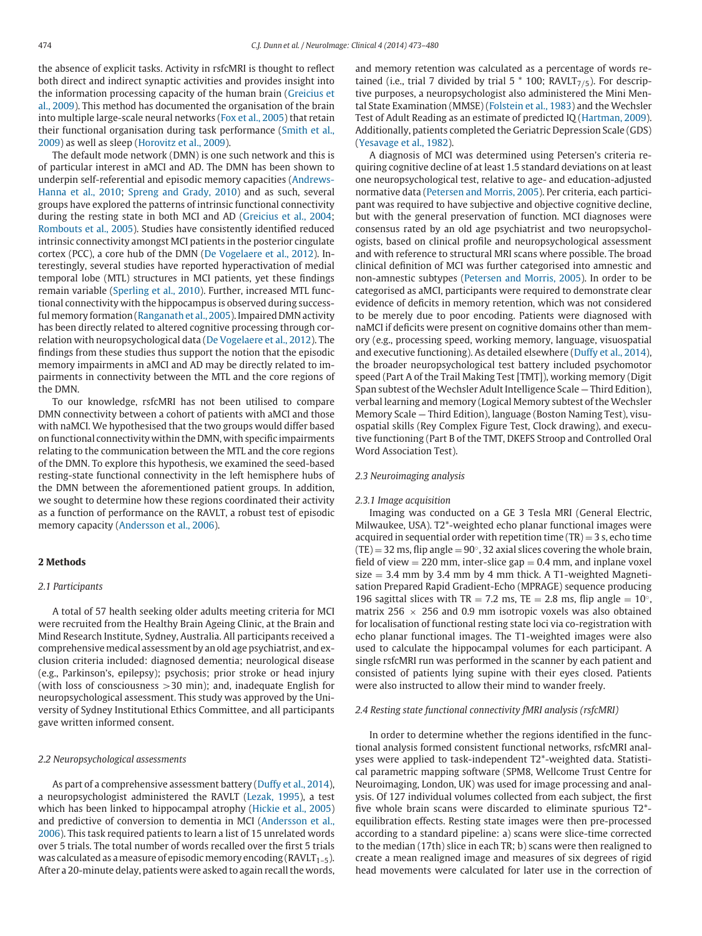the absence of explicit tasks. Activity in rsfcMRI is thought to reflect both direct and indirect synaptic activities and provides insight into the information processing capacity of the human brain (Greicius et al., 2009). This method has [documented](#page-6-0) the organisation of the brain into multiple large-scale neural networks (Fox et al., [2005\)](#page-6-0) that retain their functional organisation during task [performance](#page-6-0) (Smith et al., 2009) as well as sleep [\(Horovitz](#page-6-0) et al., 2009).

The default mode network (DMN) is one such network and this is of particular interest in aMCI and AD. The DMN has been shown to underpin [self-referential](#page-5-0) and episodic memory capacities (Andrews-Hanna et al., 2010; [Spreng](#page-6-0) and Grady, 2010) and as such, several groups have explored the patterns of intrinsic functional connectivity during the resting state in both MCI and AD [\(Greicius](#page-6-0) et al., 2004; [Rombouts](#page-6-0) et al., 2005). Studies have consistently identified reduced intrinsic connectivity amongst MCI patients in the posterior cingulate cortex (PCC), a core hub of the DMN (De [Vogelaere](#page-6-0) et al., 2012). Interestingly, several studies have reported hyperactivation of medial temporal lobe (MTL) structures in MCI patients, yet these findings remain variable [\(Sperling](#page-6-0) et al., 2010). Further, increased MTL functional connectivity with the hippocampus is observed during successful memory formation [\(Ranganath](#page-6-0) et al., 2005). Impaired DMN activity has been directly related to altered cognitive processing through correlation with neuropsychological data (De [Vogelaere](#page-6-0) et al., 2012). The findings from these studies thus support the notion that the episodic memory impairments in aMCI and AD may be directly related to impairments in connectivity between the MTL and the core regions of the DMN.

To our knowledge, rsfcMRI has not been utilised to compare DMN connectivity between a cohort of patients with aMCI and those with naMCI. We hypothesised that the two groups would differ based on functional connectivity within the DMN, with specific impairments relating to the communication between the MTL and the core regions of the DMN. To explore this hypothesis, we examined the seed-based resting-state functional connectivity in the left hemisphere hubs of the DMN between the aforementioned patient groups. In addition, we sought to determine how these regions coordinated their activity as a function of performance on the RAVLT, a robust test of episodic memory capacity [\(Andersson](#page-5-0) et al., 2006).

## **2 Methods**

#### *2.1 Participants*

A total of 57 health seeking older adults meeting criteria for MCI were recruited from the Healthy Brain Ageing Clinic, at the Brain and Mind Research Institute, Sydney, Australia. All participants received a comprehensive medical assessment by an old age psychiatrist, and exclusion criteria included: diagnosed dementia; neurological disease (e.g., Parkinson's, epilepsy); psychosis; prior stroke or head injury (with loss of consciousness  $>$  30 min); and, inadequate English for neuropsychological assessment. This study was approved by the University of Sydney Institutional Ethics Committee, and all participants gave written informed consent.

#### *2.2 Neuropsychological assessments*

As part of a comprehensive assessment battery [\(Duffy](#page-6-0) et al., 2014), a neuropsychologist administered the RAVLT [\(Lezak,](#page-6-0) 1995), a test which has been linked to hippocampal atrophy [\(Hickie](#page-6-0) et al., 2005) and predictive of conversion to dementia in MCI [\(Andersson](#page-5-0) et al., 2006). This task required patients to learn a list of 15 unrelated words over 5 trials. The total number of words recalled over the first 5 trials was calculated as a measure of episodic memory encoding (RAVLT<sub>1-5</sub>). After a 20-minute delay, patients were asked to again recall the words, and memory retention was calculated as a percentage of words retained (i.e., trial 7 divided by trial 5  $*$  100; RAVLT<sub>7/5</sub>). For descriptive purposes, a neuropsychologist also administered the Mini Mental State Examination (MMSE) [\(Folstein](#page-6-0) et al., 1983) and the Wechsler Test of Adult Reading as an estimate of predicted IQ [\(Hartman,](#page-6-0) 2009). Additionally, patients completed the Geriatric Depression Scale (GDS) [\(Yesavage](#page-7-0) et al., 1982).

A diagnosis of MCI was determined using Petersen's criteria requiring cognitive decline of at least 1.5 standard deviations on at least one neuropsychological test, relative to age- and education-adjusted normative data [\(Petersen](#page-6-0) and Morris, 2005). Per criteria, each participant was required to have subjective and objective cognitive decline, but with the general preservation of function. MCI diagnoses were consensus rated by an old age psychiatrist and two neuropsychologists, based on clinical profile and neuropsychological assessment and with reference to structural MRI scans where possible. The broad clinical definition of MCI was further categorised into amnestic and non-amnestic subtypes [\(Petersen](#page-6-0) and Morris, 2005). In order to be categorised as aMCI, participants were required to demonstrate clear evidence of deficits in memory retention, which was not considered to be merely due to poor encoding. Patients were diagnosed with naMCI if deficits were present on cognitive domains other than memory (e.g., processing speed, working memory, language, visuospatial and executive functioning). As detailed elsewhere [\(Duffy](#page-6-0) et al., 2014), the broader neuropsychological test battery included psychomotor speed (Part A of the Trail Making Test [TMT]), working memory (Digit Span subtest of the Wechsler Adult Intelligence Scale - Third Edition), verbal learning and memory (Logical Memory subtest of the Wechsler Memory Scale — Third Edition), language (Boston Naming Test), visuospatial skills (Rey Complex Figure Test, Clock drawing), and executive functioning (Part B of the TMT, DKEFS Stroop and Controlled Oral Word Association Test).

#### *2.3 Neuroimaging analysis*

#### *2.3.1 Image acquisition*

Imaging was conducted on a GE 3 Tesla MRI (General Electric, Milwaukee, USA). T2\*-weighted echo planar functional images were acquired in sequential order with repetition time  $(TR) = 3$  s, echo time  $(TE) = 32$  ms, flip angle = 90 $^{\circ}$ , 32 axial slices covering the whole brain, field of view  $= 220$  mm, inter-slice gap  $= 0.4$  mm, and inplane voxel size  $= 3.4$  mm by 3.4 mm by 4 mm thick. A T1-weighted Magnetisation Prepared Rapid Gradient-Echo (MPRAGE) sequence producing 196 sagittal slices with TR = 7.2 ms, TE = 2.8 ms, flip angle =  $10^\circ$ , matrix 256  $\times$  256 and 0.9 mm isotropic voxels was also obtained for localisation of functional resting state loci via co-registration with echo planar functional images. The T1-weighted images were also used to calculate the hippocampal volumes for each participant. A single rsfcMRI run was performed in the scanner by each patient and consisted of patients lying supine with their eyes closed. Patients were also instructed to allow their mind to wander freely.

#### *2.4 Resting state functional connectivity fMRI analysis (rsfcMRI)*

In order to determine whether the regions identified in the functional analysis formed consistent functional networks, rsfcMRI analyses were applied to task-independent T2\*-weighted data. Statistical parametric mapping software (SPM8, Wellcome Trust Centre for Neuroimaging, London, UK) was used for image processing and analysis. Of 127 individual volumes collected from each subject, the first five whole brain scans were discarded to eliminate spurious T2\* equilibration effects. Resting state images were then pre-processed according to a standard pipeline: a) scans were slice-time corrected to the median (17th) slice in each TR; b) scans were then realigned to create a mean realigned image and measures of six degrees of rigid head movements were calculated for later use in the correction of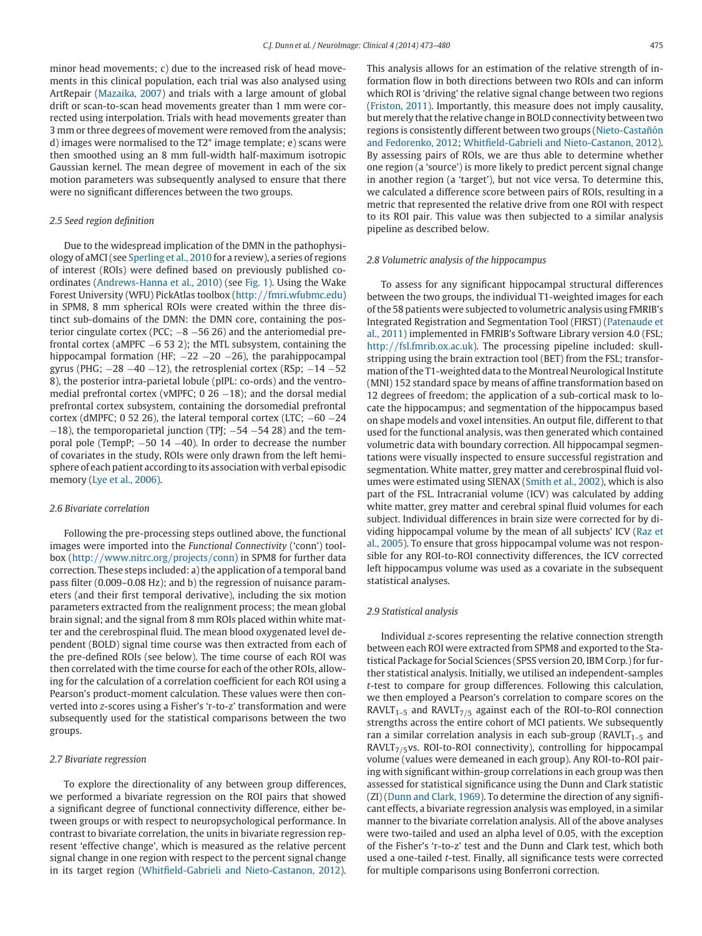minor head movements; c) due to the increased risk of head movements in this clinical population, each trial was also analysed using ArtRepair [\(Mazaika,](#page-6-0) 2007) and trials with a large amount of global drift or scan-to-scan head movements greater than 1 mm were corrected using interpolation. Trials with head movements greater than 3 mm or three degrees of movement were removed from the analysis; d) images were normalised to the T2\* image template; e) scans were then smoothed using an 8 mm full-width half-maximum isotropic Gaussian kernel. The mean degree of movement in each of the six motion parameters was subsequently analysed to ensure that there were no significant differences between the two groups.

## *2.5 Seed region definition*

Due to the widespread implication of the DMN in the pathophysiology of aMCI(see [Sperling](#page-6-0) et al., 2010 for a review), a series of regions of interest (ROIs) were defined based on previously published coordinates [\(Andrews-Hanna](#page-5-0) et al., 2010) (see [Fig.](#page-3-0) 1). Using the Wake Forest University (WFU) PickAtlas toolbox (http://[fmri.wfubmc.edu\)](http://fmri.wfubmc.edu) in SPM8, 8 mm spherical ROIs were created within the three distinct sub-domains of the DMN: the DMN core, containing the posterior cingulate cortex (PCC; −8 −56 26) and the anteriomedial prefrontal cortex (aMPFC  $-6$  53 2); the MTL subsystem, containing the hippocampal formation (HF; −22 −20 −26), the parahippocampal gyrus (PHG;  $-28 -40 -12$ ), the retrosplenial cortex (RSp;  $-14 -52$ 8), the posterior intra-parietal lobule (pIPL: co-ords) and the ventromedial prefrontal cortex (vMPFC; 0 26  $-18$ ); and the dorsal medial prefrontal cortex subsystem, containing the dorsomedial prefrontal cortex (dMPFC; 0 52 26), the lateral temporal cortex (LTC;  $-60 -24$  $-18$ ), the temporoparietal junction (TPJ;  $-54 -54 28$ ) and the temporal pole (TempP; −50 14 −40). In order to decrease the number of covariates in the study, ROIs were only drawn from the left hemisphere of each patient according to its association with verbal episodic memory (Lye et al., [2006\)](#page-6-0).

## *2.6 Bivariate correlation*

Following the pre-processing steps outlined above, the functional images were imported into the *Functional Connectivity* ('conn') toolbox (http://[www.nitrc.org](http://www.nitrc.org/projects/conn)/projects/conn) in SPM8 for further data correction. These steps included: a) the application of a temporal band pass filter (0.009–0.08 Hz); and b) the regression of nuisance parameters (and their first temporal derivative), including the six motion parameters extracted from the realignment process; the mean global brain signal; and the signal from 8 mm ROIs placed within white matter and the cerebrospinal fluid. The mean blood oxygenated level dependent (BOLD) signal time course was then extracted from each of the pre-defined ROIs (see below). The time course of each ROI was then correlated with the time course for each of the other ROIs, allowing for the calculation of a correlation coefficient for each ROI using a Pearson's product-moment calculation. These values were then converted into *z*-scores using a Fisher's 'r-to-z' transformation and were subsequently used for the statistical comparisons between the two groups.

#### *2.7 Bivariate regression*

To explore the directionality of any between group differences, we performed a bivariate regression on the ROI pairs that showed a significant degree of functional connectivity difference, either between groups or with respect to neuropsychological performance. In contrast to bivariate correlation, the units in bivariate regression represent 'effective change', which is measured as the relative percent signal change in one region with respect to the percent signal change in its target region [\(Whitfield-Gabrieli](#page-7-0) and Nieto-Castanon, 2012). This analysis allows for an estimation of the relative strength of information flow in both directions between two ROIs and can inform which ROI is 'driving' the relative signal change between two regions [\(Friston,](#page-6-0) 2011). Importantly, this measure does not imply causality, but merely that the relative change in BOLD connectivity between two regions is consistently different between two groups (Nieto-Castañón and Fedorenko, 2012; [Whitfield-Gabrieli](#page-6-0) and Nieto-Castanon, 2012). By assessing pairs of ROIs, we are thus able to determine whether one region (a 'source') is more likely to predict percent signal change in another region (a 'target'), but not vice versa. To determine this, we calculated a difference score between pairs of ROIs, resulting in a metric that represented the relative drive from one ROI with respect to its ROI pair. This value was then subjected to a similar analysis pipeline as described below.

#### *2.8 Volumetric analysis of the hippocampus*

To assess for any significant hippocampal structural differences between the two groups, the individual T1-weighted images for each ofthe 58 patients were subjected to volumetric analysis using FMRIB's Integrated Registration and [Segmentation](#page-6-0) Tool (FIRST) (Patenaude et al., 2011) implemented in FMRIB's Software Library version 4.0 (FSL; http://[fsl.fmrib.ox.ac.uk\)](http://fsl.fmrib.ox.ac.uk). The processing pipeline included: skullstripping using the brain extraction tool (BET) from the FSL; transformation ofthe T1-weighted data to the Montreal Neurological Institute (MNI) 152 standard space by means of affine transformation based on 12 degrees of freedom; the application of a sub-cortical mask to locate the hippocampus; and segmentation of the hippocampus based on shape models and voxel intensities. An output file, different to that used for the functional analysis, was then generated which contained volumetric data with boundary correction. All hippocampal segmentations were visually inspected to ensure successful registration and segmentation. White matter, grey matter and cerebrospinal fluid volumes were estimated using SIENAX [\(Smith](#page-6-0) et al., 2002), which is also part of the FSL. Intracranial volume (ICV) was calculated by adding white matter, grey matter and cerebral spinal fluid volumes for each subject. Individual differences in brain size were corrected for by dividing [hippocampal](#page-6-0) volume by the mean of all subjects' ICV (Raz et al., 2005). To ensure that gross hippocampal volume was not responsible for any ROI-to-ROI connectivity differences, the ICV corrected left hippocampus volume was used as a covariate in the subsequent statistical analyses.

## *2.9 Statistical analysis*

Individual *z*-scores representing the relative connection strength between each ROI were extracted from SPM8 and exported to the Statistical Package for Social Sciences (SPSS version 20, IBM Corp.)for further statistical analysis. Initially, we utilised an independent-samples *t*-test to compare for group differences. Following this calculation, we then employed a Pearson's correlation to compare scores on the RAVLT<sub>1-5</sub> and RAVLT<sub>7/5</sub> against each of the ROI-to-ROI connection strengths across the entire cohort of MCI patients. We subsequently ran a similar correlation analysis in each sub-group ( $RAVLT<sub>1-5</sub>$  and RAVLT $_{7/5}$ vs. ROI-to-ROI connectivity), controlling for hippocampal volume (values were demeaned in each group). Any ROI-to-ROI pairing with significant within-group correlations in each group was then assessed for statistical significance using the Dunn and Clark statistic (ZI) [\(Dunn](#page-6-0) and Clark, 1969). To determine the direction of any significant effects, a bivariate regression analysis was employed, in a similar manner to the bivariate correlation analysis. All of the above analyses were two-tailed and used an alpha level of 0.05, with the exception of the Fisher's 'r-to-z' test and the Dunn and Clark test, which both used a one-tailed *t*-test. Finally, all significance tests were corrected for multiple comparisons using Bonferroni correction.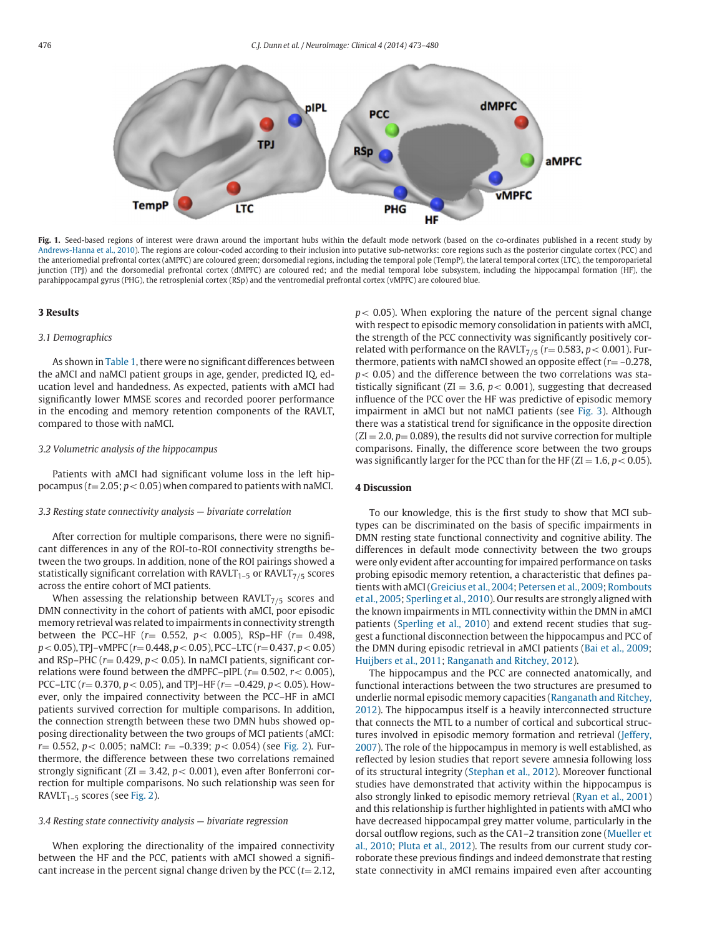<span id="page-3-0"></span>

Fig. 1. Seed-based regions of interest were drawn around the important hubs within the default mode network (based on the co-ordinates published in a recent study by [Andrews-Hanna](#page-5-0) et al., 2010). The regions are colour-coded according to their inclusion into putative sub-networks: core regions such as the posterior cingulate cortex (PCC) and the anteriomedial prefrontal cortex (aMPFC) are coloured green; dorsomedial regions, including the temporal pole (TempP), the lateral temporal cortex (LTC), the temporoparietal junction (TPJ) and the dorsomedial prefrontal cortex (dMPFC) are coloured red; and the medial temporal lobe subsystem, including the hippocampal formation (HF), the parahippocampal gyrus (PHG), the retrosplenial cortex (RSp) and the ventromedial prefrontal cortex (vMPFC) are coloured blue.

## **3 Results**

## *3.1 Demographics*

As shown in [Table](#page-4-0) 1, there were no significant differences between the aMCI and naMCI patient groups in age, gender, predicted IQ, education level and handedness. As expected, patients with aMCI had significantly lower MMSE scores and recorded poorer performance in the encoding and memory retention components of the RAVLT, compared to those with naMCI.

#### *3.2 Volumetric analysis of the hippocampus*

Patients with aMCI had significant volume loss in the left hippocampus ( $t = 2.05$ ;  $p < 0.05$ ) when compared to patients with naMCI.

#### *3.3 Resting state connectivity analysis — bivariate correlation*

After correction for multiple comparisons, there were no significant differences in any of the ROI-to-ROI connectivity strengths between the two groups. In addition, none of the ROI pairings showed a statistically significant correlation with  $RAVLT_{1-5}$  or  $RAVLT_{7/5}$  scores across the entire cohort of MCI patients.

When assessing the relationship between RAVLT $_{7/5}$  scores and DMN connectivity in the cohort of patients with aMCI, poor episodic memory retrieval was related to impairments in connectivity strength between the PCC–HF (*r*<sup>=</sup> 0.552, *<sup>p</sup>*< 0.005), RSp–HF (*r*<sup>=</sup> 0.498, *<sup>p</sup>*<0.05), TPJ–vMPFC (*r*<sup>=</sup> 0.448, *<sup>p</sup>*<0.05), PCC–LTC (*r*<sup>=</sup> 0.437, *<sup>p</sup>*<0.05) and RSp–PHC (*r*<sup>=</sup> 0.429, *<sup>p</sup>*< 0.05). In naMCI patients, significant correlations were found between the dMPFC–pIPL  $(r= 0.502, r < 0.005)$ , PCC–LTC (*r*<sup>=</sup> 0.370, *<sup>p</sup>*< 0.05), and TPJ–HF (*r*<sup>=</sup> –0.429, *<sup>p</sup>*< 0.05). However, only the impaired connectivity between the PCC–HF in aMCI patients survived correction for multiple comparisons. In addition, the connection strength between these two DMN hubs showed opposing directionality between the two groups of MCI patients (aMCI: *<sup>r</sup>*<sup>=</sup> 0.552, *<sup>p</sup>*< 0.005; naMCI: *<sup>r</sup>*<sup>=</sup> –0.339; *<sup>p</sup>*< 0.054) (see [Fig.](#page-4-0) 2). Furthermore, the difference between these two correlations remained strongly significant ( $ZI = 3.42$ ,  $p < 0.001$ ), even after Bonferroni correction for multiple comparisons. No such relationship was seen for RAVLT<sub>1-5</sub> scores (see [Fig.](#page-4-0) 2).

## *3.4 Resting state connectivity analysis — bivariate regression*

When exploring the directionality of the impaired connectivity between the HF and the PCC, patients with aMCI showed a significant increase in the percent signal change driven by the PCC  $(t= 2.12,$   $p$  < 0.05). When exploring the nature of the percent signal change with respect to episodic memory consolidation in patients with aMCI, the strength of the PCC connectivity was significantly positively correlated with performance on the RAVLT<sub>7/5</sub> ( $r=0.583$ ,  $p<0.001$ ). Furthermore, patients with naMCI showed an opposite effect (*r*= –0.278, *p*< 0.05) and the difference between the two correlations was statistically significant ( $ZI = 3.6$ ,  $p < 0.001$ ), suggesting that decreased influence of the PCC over the HF was predictive of episodic memory impairment in aMCI but not naMCI patients (see [Fig.](#page-5-0) 3). Although there was a statistical trend for significance in the opposite direction  $(ZI = 2.0, p = 0.089)$ , the results did not survive correction for multiple comparisons. Finally, the difference score between the two groups was significantly larger for the PCC than for the HF ( $ZI = 1.6$ ,  $p < 0.05$ ).

#### **4 Discussion**

To our knowledge, this is the first study to show that MCI subtypes can be discriminated on the basis of specific impairments in DMN resting state functional connectivity and cognitive ability. The differences in default mode connectivity between the two groups were only evident after accounting for impaired performance on tasks probing episodic memory retention, a characteristic that defines patients with [aMCI\(Greicius](#page-6-0) et al., 2004; [Petersen](#page-6-0) et al., 2009; Rombouts et al., 2005; [Sperling](#page-6-0) et al., 2010). Our results are strongly aligned with the known impairments in MTL connectivity within the DMN in aMCI patients [\(Sperling](#page-6-0) et al., 2010) and extend recent studies that suggest a functional disconnection between the hippocampus and PCC of the DMN during episodic retrieval in aMCI patients (Bai et al., [2009;](#page-5-0) [Huijbers](#page-6-0) et al., 2011; [Ranganath](#page-6-0) and Ritchey, 2012).

The hippocampus and the PCC are connected anatomically, and functional interactions between the two structures are presumed to underlie normal episodic memory capacities (Ranganath and Ritchey, 2012). The hippocampus itself is a heavily [interconnected](#page-6-0) structure that connects the MTL to a number of cortical and subcortical structures involved in episodic memory formation and retrieval (Jeffery, 2007). The role of the [hippocampus](#page-6-0) in memory is well established, as reflected by lesion studies that report severe amnesia following loss of its structural integrity [\(Stephan](#page-6-0) et al., 2012). Moreover functional studies have demonstrated that activity within the hippocampus is also strongly linked to episodic memory retrieval (Ryan et al., [2001\)](#page-6-0) and this relationship is further highlighted in patients with aMCI who have decreased hippocampal grey matter volume, particularly in the dorsal outflow regions, such as the CA1–2 [transition](#page-6-0) zone (Mueller et al., 2010; Pluta et al., [2012\)](#page-6-0). The results from our current study corroborate these previous findings and indeed demonstrate that resting state connectivity in aMCI remains impaired even after accounting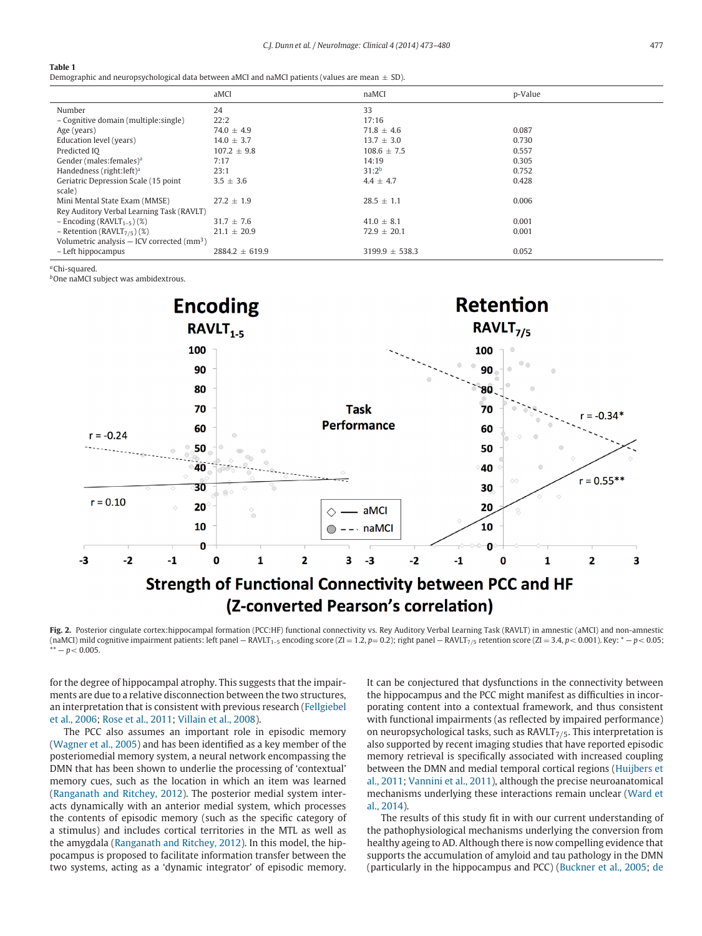#### <span id="page-4-0"></span>**Table 1**

Demographic and neuropsychological data between aMCI and naMCI patients (values are mean  $\pm$  SD).

|                                                          | aMCI               | naMCI              | p-Value |
|----------------------------------------------------------|--------------------|--------------------|---------|
| Number                                                   | 24                 | 33                 |         |
| - Cognitive domain (multiple: single)                    | 22:2               | 17:16              |         |
| Age (years)                                              | $74.0 \pm 4.9$     | $71.8 + 4.6$       | 0.087   |
| Education level (years)                                  | $14.0 \pm 3.7$     | $13.7 \pm 3.0$     | 0.730   |
| Predicted IO                                             | $107.2 + 9.8$      | $108.6 + 7.5$      | 0.557   |
| Gender (males: females) <sup>a</sup>                     | 7:17               | 14:19              | 0.305   |
| Handedness (right: left) <sup>a</sup>                    | 23:1               | $31:2^b$           | 0.752   |
| Geriatric Depression Scale (15 point                     | $3.5 \pm 3.6$      | $4.4 \pm 4.7$      | 0.428   |
| scale)                                                   |                    |                    |         |
| Mini Mental State Exam (MMSE)                            | $27.2 \pm 1.9$     | $28.5 \pm 1.1$     | 0.006   |
| Rey Auditory Verbal Learning Task (RAVLT)                |                    |                    |         |
| $-$ Encoding (RAVLT <sub>1-5</sub> )(%)                  | $31.7 \pm 7.6$     | $41.0 + 8.1$       | 0.001   |
| - Retention ( $RAVLT_{7/5}$ ) (%)                        | $21.1 \pm 20.9$    | $72.9 \pm 20.1$    | 0.001   |
| Volumetric analysis $-$ ICV corrected (mm <sup>3</sup> ) |                    |                    |         |
| - Left hippocampus                                       | $2884.2 \pm 619.9$ | $3199.9 \pm 538.3$ | 0.052   |

*<sup>a</sup>*Chi-squared.

*<sup>b</sup>*One naMCI subject was ambidextrous.



**Fig. 2.** Posterior cingulate cortex:hippocampal formation (PCC:HF) functional connectivity vs. Rey Auditory Verbal Learning Task (RAVLT) in amnestic (aMCI) and non-amnestic  $\mu$  (naMCI) mild cognitive impairment patients: left panel — RAVLT<sub>1–5</sub> encoding score  $(Z_1 = 1.2, p = 0.2)$ ; right panel — RAVLT<sub>7/5</sub> retention score  $(Z_1 = 3.4, p < 0.001)$ . Key: \*  $-p < 0.05$ ;  $*** - p < 0.005$ .

for the degree of hippocampal atrophy. This suggests that the impairments are due to a relative disconnection between the two structures, an [interpretation](#page-6-0) that is consistent with previous research (Fellgiebel et al., 2006; Rose et al., [2011;](#page-6-0) [Villain](#page-6-0) et al., 2008).

The PCC also assumes an important role in episodic memory [\(Wagner](#page-7-0) et al., 2005) and has been identified as a key member of the posteriomedial memory system, a neural network encompassing the DMN that has been shown to underlie the processing of 'contextual' memory cues, such as the location in which an item was learned [\(Ranganath](#page-6-0) and Ritchey, 2012). The posterior medial system interacts dynamically with an anterior medial system, which processes the contents of episodic memory (such as the specific category of a stimulus) and includes cortical territories in the MTL as well as the amygdala [\(Ranganath](#page-6-0) and Ritchey, 2012). In this model, the hippocampus is proposed to facilitate information transfer between the two systems, acting as a 'dynamic integrator' of episodic memory. It can be conjectured that dysfunctions in the connectivity between the hippocampus and the PCC might manifest as difficulties in incorporating content into a contextual framework, and thus consistent with functional impairments (as reflected by impaired performance) on neuropsychological tasks, such as  $RAVLT<sub>7/5</sub>$ . This interpretation is also supported by recent imaging studies that have reported episodic memory retrieval is specifically associated with increased coupling between the DMN and medial temporal cortical regions (Huijbers et al., 2011; [Vannini](#page-6-0) et al., 2011), although the precise [neuroanatomical](#page-6-0) [mechanisms](#page-7-0) underlying these interactions remain unclear (Ward et al., 2014).

The results of this study fit in with our current understanding of the pathophysiological mechanisms underlying the conversion from healthy ageing to AD. Although there is now compelling evidence that supports the accumulation of amyloid and tau pathology in the DMN (particularly in the hippocampus and PCC) [\(Buckner](#page-5-0) et al., 2005; [de](#page-5-0)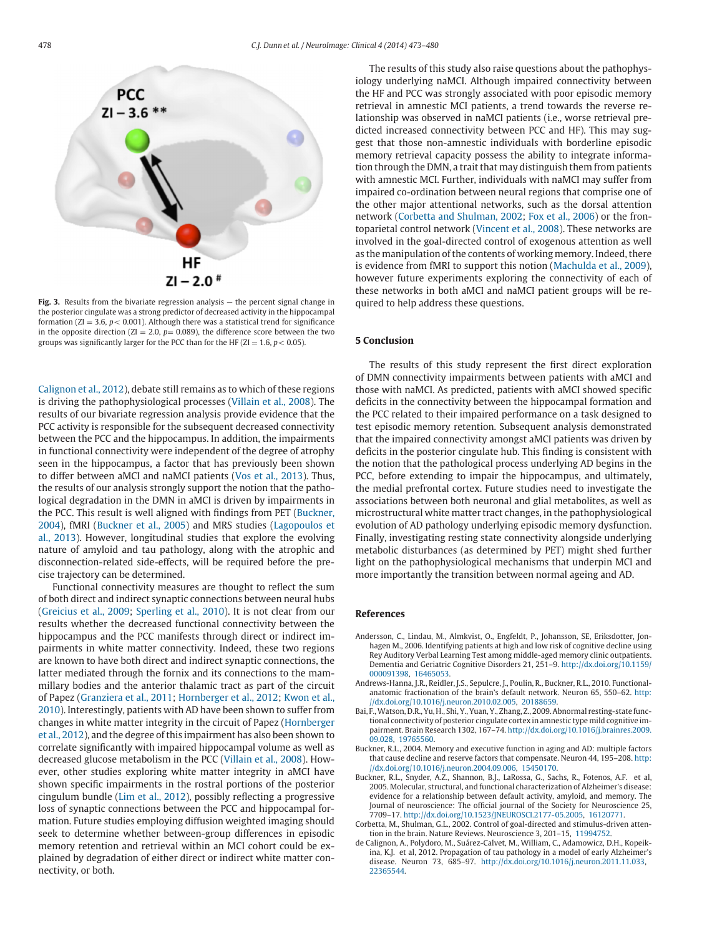<span id="page-5-0"></span>

**Fig. 3.** Results from the bivariate regression analysis — the percent signal change in the posterior cingulate was a strong predictor of decreased activity in the hippocampal formation ( $ZI = 3.6$ ,  $p < 0.001$ ). Although there was a statistical trend for significance in the opposite direction ( $ZI = 2.0$ ,  $p = 0.089$ ), the difference score between the two groups was significantly larger for the PCC than for the HF ( $ZI = 1.6$ ,  $p < 0.05$ ).

Calignon et al., 2012), debate still remains as to which of these regions is driving the pathophysiological processes [\(Villain](#page-6-0) et al., 2008). The results of our bivariate regression analysis provide evidence that the PCC activity is responsible for the subsequent decreased connectivity between the PCC and the hippocampus. In addition, the impairments in functional connectivity were independent of the degree of atrophy seen in the hippocampus, a factor that has previously been shown to differ between aMCI and naMCI patients (Vos et al., [2013\)](#page-6-0). Thus, the results of our analysis strongly support the notion that the pathological degradation in the DMN in aMCI is driven by impairments in the PCC. This result is well aligned with findings from PET (Buckner, 2004), fMRI (Buckner et al., 2005) and MRS studies (Lagopoulos et al., 2013). However, [longitudinal](#page-6-0) studies that explore the evolving nature of amyloid and tau pathology, along with the atrophic and disconnection-related side-effects, will be required before the precise trajectory can be determined.

Functional connectivity measures are thought to reflect the sum of both direct and indirect synaptic connections between neural hubs [\(Greicius](#page-6-0) et al., 2009; [Sperling](#page-6-0) et al., 2010). It is not clear from our results whether the decreased functional connectivity between the hippocampus and the PCC manifests through direct or indirect impairments in white matter connectivity. Indeed, these two regions are known to have both direct and indirect synaptic connections, the latter mediated through the fornix and its connections to the mammillary bodies and the anterior thalamic tract as part of the circuit of Papez [\(Granziera](#page-6-0) et al., 2011; [Hornberger](#page-6-0) et al., 2012; Kwon et al., 2010). [Interestingly,](#page-6-0) patients with AD have been shown to suffer from changes in white matter integrity in the circuit of Papez [\(Hornberger](#page-6-0) et al., 2012), and the degree ofthis impairment has also been shown to correlate significantly with impaired hippocampal volume as well as decreased glucose metabolism in the PCC [\(Villain](#page-6-0) et al., 2008). However, other studies exploring white matter integrity in aMCI have shown specific impairments in the rostral portions of the posterior cingulum bundle (Lim et al., [2012\)](#page-6-0), possibly reflecting a progressive loss of synaptic connections between the PCC and hippocampal formation. Future studies employing diffusion weighted imaging should seek to determine whether between-group differences in episodic memory retention and retrieval within an MCI cohort could be explained by degradation of either direct or indirect white matter connectivity, or both.

The results of this study also raise questions about the pathophysiology underlying naMCI. Although impaired connectivity between the HF and PCC was strongly associated with poor episodic memory retrieval in amnestic MCI patients, a trend towards the reverse relationship was observed in naMCI patients (i.e., worse retrieval predicted increased connectivity between PCC and HF). This may suggest that those non-amnestic individuals with borderline episodic memory retrieval capacity possess the ability to integrate information through the DMN, a trait that may distinguish them from patients with amnestic MCI. Further, individuals with naMCI may suffer from impaired co-ordination between neural regions that comprise one of the other major attentional networks, such as the dorsal attention network (Corbetta and Shulman, 2002; Fox et al., [2006\)](#page-6-0) or the frontoparietal control network [\(Vincent](#page-6-0) et al., 2008). These networks are involved in the goal-directed control of exogenous attention as well as the manipulation of the contents of working memory. Indeed, there is evidence from fMRI to support this notion [\(Machulda](#page-6-0) et al., 2009), however future experiments exploring the connectivity of each of these networks in both aMCI and naMCI patient groups will be required to help address these questions.

#### **5 Conclusion**

The results of this study represent the first direct exploration of DMN connectivity impairments between patients with aMCI and those with naMCI. As predicted, patients with aMCI showed specific deficits in the connectivity between the hippocampal formation and the PCC related to their impaired performance on a task designed to test episodic memory retention. Subsequent analysis demonstrated that the impaired connectivity amongst aMCI patients was driven by deficits in the posterior cingulate hub. This finding is consistent with the notion that the pathological process underlying AD begins in the PCC, before extending to impair the hippocampus, and ultimately, the medial prefrontal cortex. Future studies need to investigate the associations between both neuronal and glial metabolites, as well as microstructural white matter tract changes, in the pathophysiological evolution of AD pathology underlying episodic memory dysfunction. Finally, investigating resting state connectivity alongside underlying metabolic disturbances (as determined by PET) might shed further light on the pathophysiological mechanisms that underpin MCI and more importantly the transition between normal ageing and AD.

#### **References**

- Andersson, C., Lindau, M., Almkvist, O., Engfeldt, P., Johansson, SE, Eriksdotter, Jonhagen M., 2006. Identifying patients at high and low risk of cognitive decline using Rey Auditory Verbal Learning Test among middle-aged memory clinic outpatients. Dementia and Geriatric Cognitive Disorders 21, 251–9. [http://dx.doi.org/10.1159/](http://dx.doi.org/10.1159/000091398) 000091398, [16465053.](http://www.ncbi.nlm.nih.gov/pubmed/)
- Andrews-Hanna, J.R., Reidler, J.S., Sepulcre, J., Poulin, R., Buckner, R.L., 2010. Functionalanatomic fractionation of the brain's default network. Neuron 65, 550–62. http: [//dx.doi.org/10.1016/j.neuron.2010.02.005,](http://dx.doi.org/10.1016/j.neuron.2010.02.005) [20188659.](http://www.ncbi.nlm.nih.gov/pubmed/)
- Bai, F.,Watson, D.R., Yu, H., Shi, Y., Yuan, Y., Zhang, Z., 2009. Abnormal resting-state functional connectivity of posterior cingulate cortex in amnestic type mild cognitive impairment. Brain Research 1302, 167–74. [http://dx.doi.org/10.1016/j.brainres.2009.](http://dx.doi.org/10.1016/j.brainres.2009.09.028) 09.028, [19765560.](http://www.ncbi.nlm.nih.gov/pubmed/)
- Buckner, R.L., 2004. Memory and executive function in aging and AD: multiple factors that cause decline and reserve factors that compensate. Neuron 44, 195–208. http: [//dx.doi.org/10.1016/j.neuron.2004.09.006,](http://dx.doi.org/10.1016/j.neuron.2004.09.006) [15450170.](http://www.ncbi.nlm.nih.gov/pubmed/)
- Buckner, R.L., Snyder, A.Z., Shannon, B.J., LaRossa, G., Sachs, R., Fotenos, A.F. et al, 2005. Molecular, structural, and functional characterization of Alzheimer's disease: evidence for a relationship between default activity, amyloid, and memory. The Journal of neuroscience: The official journal of the Society for Neuroscience 25, 7709–17. [http://dx.doi.org/10.1523/JNEUROSCI.2177-05.2005,](http://dx.doi.org/10.1523/JNEUROSCI.2177-05.2005) [16120771.](http://www.ncbi.nlm.nih.gov/pubmed/)
- Corbetta, M., Shulman, G.L., 2002. Control of goal-directed and stimulus-driven attention in the brain. Nature Reviews. Neuroscience 3, 201–15, [11994752.](http://www.ncbi.nlm.nih.gov/pubmed/)
- de Calignon, A., Polydoro, M., Suárez-Calvet, M., William, C., Adamowicz, D.H., Kopeikina, K.J. et al, 2012. Propagation of tau pathology in a model of early Alzheimer's disease. Neuron 73, 685–97. <http://dx.doi.org/10.1016/j.neuron.2011.11.033>[,](http://www.ncbi.nlm.nih.gov/pubmed/) 22365544.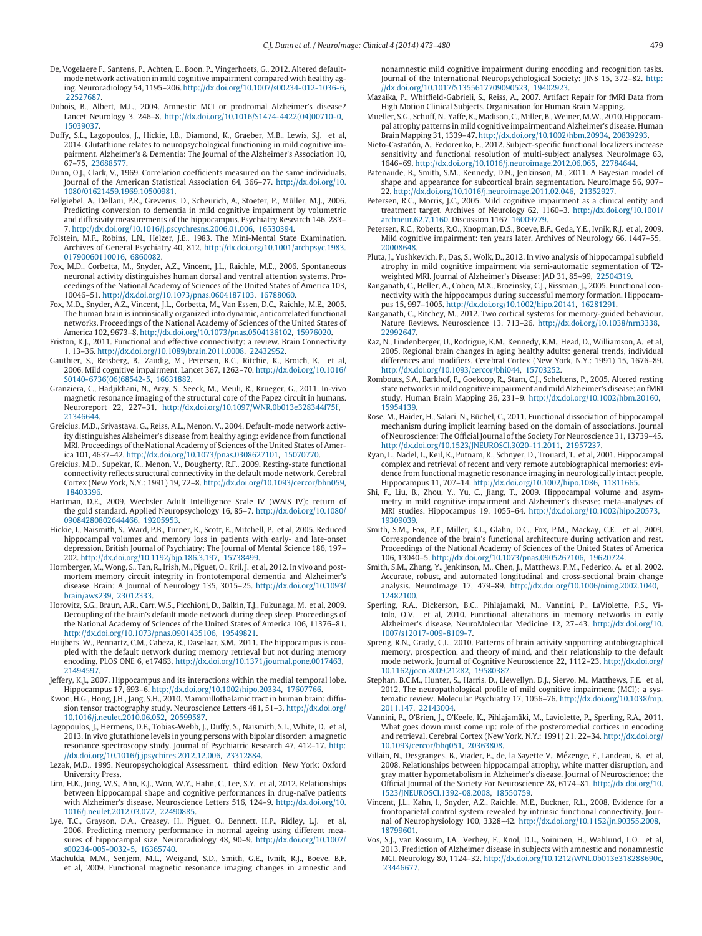- <span id="page-6-0"></span>De, Vogelaere F., Santens, P., Achten, E., Boon, P., Vingerhoets, G., 2012. Altered defaultmode network activation in mild cognitive impairment compared with healthy aging. Neuroradiology 54, 1195–206. [http://dx.doi.org/10.1007/s00234-012-1036-6,](http://dx.doi.org/10.1007/s00234-012-1036-6) [22527687.](http://www.ncbi.nlm.nih.gov/pubmed/)
- Dubois, B., Albert, M.L., 2004. Amnestic MCI or prodromal Alzheimer's disease? Lancet Neurology 3, 246–8. [http://dx.doi.org/10.1016/S1474-4422\(04\)00710-0](http://dx.doi.org/10.1016/S1474-4422(04)00710-0)[,](http://www.ncbi.nlm.nih.gov/pubmed/) 15039037.
- Duffy, S.L., Lagopoulos, J., Hickie, I.B., Diamond, K., Graeber, M.B., Lewis, S.J. et al, 2014. Glutathione relates to neuropsychological functioning in mild cognitive impairment. Alzheimer's & Dementia: The Journal of the Alzheimer's Association 10, 67–75, [23688577.](http://www.ncbi.nlm.nih.gov/pubmed/)
- Dunn, O.J., Clark, V., 1969. Correlation coefficients measured on the same individuals. Journal of the American Statistical Association 64, 366–77. http://dx.doi.org/10. [1080/01621459.1969.10500981.](http://dx.doi.org/10.1080/01621459.1969.10500981)
- Fellgiebel, A., Dellani, P.R., Greverus, D., Scheurich, A., Stoeter, P., Müller, M.J., 2006. Predicting conversion to dementia in mild cognitive impairment by volumetric and diffusivity measurements of the hippocampus. Psychiatry Research 146, 283– 7. [http://dx.doi.org/10.1016/j.pscychresns.2006.01.006,](http://dx.doi.org/10.1016/j.pscychresns.2006.01.006) [16530394.](http://www.ncbi.nlm.nih.gov/pubmed/)
- Folstein, M.F., Robins, L.N., Helzer, J.E., 1983. The Mini-Mental State Examination. Archives of General Psychiatry 40, 812. [http://dx.doi.org/10.1001/archpsyc.1983.](http://dx.doi.org/10.1001/archpsyc.1983.01790060110016) 01790060110016, [6860082.](http://www.ncbi.nlm.nih.gov/pubmed/)
- Fox, M.D., Corbetta, M., Snyder, A.Z., Vincent, J.L., Raichle, M.E., 2006. Spontaneous neuronal activity distinguishes human dorsal and ventral attention systems. Proceedings of the National Academy of Sciences of the United States of America 103, 10046–51. [http://dx.doi.org/10.1073/pnas.0604187103,](http://dx.doi.org/10.1073/pnas.0604187103) [16788060.](http://www.ncbi.nlm.nih.gov/pubmed/)
- Fox, M.D., Snyder, A.Z., Vincent, J.L., Corbetta, M., Van Essen, D.C., Raichle, M.E., 2005. The human brain is intrinsically organized into dynamic, anticorrelated functional networks. Proceedings of the National Academy of Sciences of the United States of America 102, 9673–8. [http://dx.doi.org/10.1073/pnas.0504136102,](http://dx.doi.org/10.1073/pnas.0504136102) [15976020.](http://www.ncbi.nlm.nih.gov/pubmed/)
- Friston, K.J., 2011. Functional and effective connectivity: a review. Brain Connectivity 1, 13–36. [http://dx.doi.org/10.1089/brain.2011.0008,](http://dx.doi.org/10.1089/brain.2011.0008) [22432952.](http://www.ncbi.nlm.nih.gov/pubmed/)
- Gauthier, S., Reisberg, B., Zaudig, M., Petersen, R.C., Ritchie, K., Broich, K. et al, 2006. Mild cognitive impairment. Lancet 367, 1262–70. [http://dx.doi.org/10.1016/](http://dx.doi.org/10.1016/S0140-6736(06)68542-5) S0140-6736(06)68542-5, [16631882.](http://www.ncbi.nlm.nih.gov/pubmed/)
- Granziera, C., Hadjikhani, N., Arzy, S., Seeck, M., Meuli, R., Krueger, G., 2011. In-vivo magnetic resonance imaging of the structural core of the Papez circuit in humans. Neuroreport 22, 227–31. <http://dx.doi.org/10.1097/WNR.0b013e328344f75f>[,](http://www.ncbi.nlm.nih.gov/pubmed/) 21346644.
- Greicius, M.D., Srivastava, G., Reiss, A.L., Menon, V., 2004. Default-mode network activity distinguishes Alzheimer's disease from healthy aging: evidence from functional MRI. Proceedings of the National Academy of Sciences of the United States of America 101, 4637–42. [http://dx.doi.org/10.1073/pnas.0308627101,](http://dx.doi.org/10.1073/pnas.0308627101) [15070770.](http://www.ncbi.nlm.nih.gov/pubmed/)
- Greicius, M.D., Supekar, K., Menon, V., Dougherty, R.F., 2009. Resting-state functional connectivity reflects structural connectivity in the default mode network. Cerebral Cortex (New York, N.Y.: 1991) 19, 72–8. [http://dx.doi.org/10.1093/cercor/bhn059,](http://dx.doi.org/10.1093/cercor\protect $\relax /\penalty \exhyphenpenalty $bhn059) [18403396.](http://www.ncbi.nlm.nih.gov/pubmed/)
- Hartman, D.E., 2009. Wechsler Adult Intelligence Scale IV (WAIS IV): return of the gold standard. Applied Neuropsychology 16, 85–7. [http://dx.doi.org/10.1080/](http://dx.doi.org/10.1080/09084280802644466) 09084280802644466, [19205953.](http://www.ncbi.nlm.nih.gov/pubmed/)
- Hickie, I., Naismith, S., Ward, P.B., Turner, K., Scott, E., Mitchell, P. et al, 2005. Reduced hippocampal volumes and memory loss in patients with early- and late-onset depression. British Journal of Psychiatry: The Journal of Mental Science 186, 197– 202. [http://dx.doi.org/10.1192/bjp.186.3.197,](http://dx.doi.org/10.1192/bjp.186.3.197) [15738499.](http://www.ncbi.nlm.nih.gov/pubmed/)
- Hornberger, M., Wong, S., Tan, R., Irish, M., Piguet, O., Kril, J. et al, 2012. In vivo and postmortem memory circuit integrity in frontotemporal dementia and Alzheimer's disease. Brain: A Journal of Neurology 135, 3015–25. [http://dx.doi.org/10.1093/](http://dx.doi.org/10.1093/brain\protect $\relax /\penalty \exhyphenpenalty $aws239) brain/aws239, [23012333.](http://www.ncbi.nlm.nih.gov/pubmed/)
- Horovitz, S.G., Braun, A.R., Carr, W.S., Picchioni, D., Balkin, T.J., Fukunaga, M. et al, 2009. Decoupling of the brain's default mode network during deep sleep. Proceedings of the National Academy of Sciences of the United States of America 106, 11376–81. [http://dx.doi.org/10.1073/pnas.0901435106,](http://dx.doi.org/10.1073/pnas.0901435106) [19549821.](http://www.ncbi.nlm.nih.gov/pubmed/)
- Huijbers, W., Pennartz, C.M., Cabeza, R., Daselaar, S.M., 2011. The hippocampus is coupled with the default network during memory retrieval but not during memory encoding. PLOS ONE 6, e17463. <http://dx.doi.org/10.1371/journal.pone.0017463>[,](http://www.ncbi.nlm.nih.gov/pubmed/) 21494597.
- Jeffery, K.J., 2007. Hippocampus and its interactions within the medial temporal lobe. Hippocampus 17, 693–6. [http://dx.doi.org/10.1002/hipo.20334,](http://dx.doi.org/10.1002/hipo.20334) [17607766.](http://www.ncbi.nlm.nih.gov/pubmed/)
- Kwon, H.G., Hong, J.H., Jang, S.H., 2010. Mammillothalamic tract in human brain: diffusion tensor tractography study. Neuroscience Letters 481, 51–3. http://dx.doi.org/ [10.1016/j.neulet.2010.06.052,](http://dx.doi.org/10.1016/j.neulet.2010.06.052) [20599587.](http://www.ncbi.nlm.nih.gov/pubmed/)
- Lagopoulos, J., Hermens, D.F., Tobias-Webb, J., Duffy, S., Naismith, S.L., White, D. et al, 2013. In vivo glutathione levels in young persons with bipolar disorder: a magnetic resonance spectroscopy study. Journal of Psychiatric Research 47, 412–17. http: [//dx.doi.org/10.1016/j.jpsychires.2012.12.006,](http://dx.doi.org/10.1016/j.jpsychires.2012.12.006) [23312884.](http://www.ncbi.nlm.nih.gov/pubmed/)
- Lezak, M.D., 1995. Neuropsychological Assessment. third edition New York: Oxford University Press.
- Lim, H.K., Jung, W.S., Ahn, K.J., Won, W.Y., Hahn, C., Lee, S.Y. et al, 2012. Relationships between hippocampal shape and cognitive performances in drug-naïve patients with Alzheimer's disease. Neuroscience Letters 516, 124–9. http://dx.doi.org/10. [1016/j.neulet.2012.03.072,](http://dx.doi.org/10.1016/j.neulet.2012.03.072) [22490885.](http://www.ncbi.nlm.nih.gov/pubmed/)
- Lye, T.C., Grayson, D.A., Creasey, H., Piguet, O., Bennett, H.P., Ridley, L.J. et al, 2006. Predicting memory performance in normal ageing using different measures of hippocampal size. Neuroradiology 48, 90–9. [http://dx.doi.org/10.1007/](http://dx.doi.org/10.1007/s00234-005-0032-5) s00234-005-0032-5, [16365740.](http://www.ncbi.nlm.nih.gov/pubmed/)
- Machulda, M.M., Senjem, M.L., Weigand, S.D., Smith, G.E., Ivnik, R.J., Boeve, B.F. et al, 2009. Functional magnetic resonance imaging changes in amnestic and

nonamnestic mild cognitive impairment during encoding and recognition tasks. Journal of the International Neuropsychological Society: JINS 15, 372–82. http: [//dx.doi.org/10.1017/S1355617709090523,](http://dx.doi.org/10.1017/S1355617709090523) [19402923.](http://www.ncbi.nlm.nih.gov/pubmed/)

- Mazaika, P., Whitfield-Gabrieli, S., Reiss, A., 2007. Artifact Repair for fMRI Data from High Motion Clinical Subjects. Organisation for Human Brain Mapping.
- Mueller, S.G., Schuff, N., Yaffe, K., Madison, C., Miller, B., Weiner, M.W., 2010. Hippocampal atrophy patterns in mild cognitive impairment and Alzheimer's disease. Human Brain Mapping 31, 1339–47. [http://dx.doi.org/10.1002/hbm.20934,](http://dx.doi.org/10.1002/hbm.20934) [20839293.](http://www.ncbi.nlm.nih.gov/pubmed/)
- Nieto-Castañón, A., Fedorenko, E., 2012. Subject-specific functional localizers increase sensitivity and functional resolution of multi-subject analyses. NeuroImage 63, 1646–69. [http://dx.doi.org/10.1016/j.neuroimage.2012.06.065,](http://dx.doi.org/10.1016/j.neuroimage.2012.06.065) [22784644.](http://www.ncbi.nlm.nih.gov/pubmed/)
- Patenaude, B., Smith, S.M., Kennedy, D.N., Jenkinson, M., 2011. A Bayesian model of shape and appearance for subcortical brain segmentation. NeuroImage 56, 907– 22. [http://dx.doi.org/10.1016/j.neuroimage.2011.02.046,](http://dx.doi.org/10.1016/j.neuroimage.2011.02.046) [21352927.](http://www.ncbi.nlm.nih.gov/pubmed/)
- Petersen, R.C., Morris, J.C., 2005. Mild cognitive impairment as a clinical entity and treatment target. Archives of Neurology 62, 1160–3. [http://dx.doi.org/10.1001/](http://dx.doi.org/10.1001/archneur.62.7.1160) archneur.62.7.1160, Discussion 1167 [16009779.](http://www.ncbi.nlm.nih.gov/pubmed/16009779)
- Petersen, R.C., Roberts, R.O., Knopman, D.S., Boeve, B.F., Geda, Y.E., Ivnik, R.J. et al, 2009. Mild cognitive [impairment:](http://www.ncbi.nlm.nih.gov/pubmed/) ten years later. Archives of Neurology 66, 1447–55, 20008648.
- Pluta, J., Yushkevich, P., Das, S., Wolk, D., 2012. In vivo analysis of hippocampal subfield atrophy in mild cognitive impairment via semi-automatic segmentation of T2 weighted MRI. Journal of Alzheimer's Disease: JAD 31, 85–99, [22504319.](http://www.ncbi.nlm.nih.gov/pubmed/)
- Ranganath, C., Heller, A., Cohen, M.X., Brozinsky, C.J., Rissman, J., 2005. Functional connectivity with the hippocampus during successful memory formation. Hippocampus 15, 997–1005. [http://dx.doi.org/10.1002/hipo.20141,](http://dx.doi.org/10.1002/hipo.20141) [16281291.](http://www.ncbi.nlm.nih.gov/pubmed/)
- Ranganath, C., Ritchey, M., 2012. Two cortical systems for memory-guided behaviour. Nature Reviews. Neuroscience 13, 713–26. <http://dx.doi.org/10.1038/nrn3338>[,](http://www.ncbi.nlm.nih.gov/pubmed/) 22992647.
- Raz, N., Lindenberger, U., Rodrigue, K.M., Kennedy, K.M., Head, D., Williamson, A. et al, 2005. Regional brain changes in aging healthy adults: general trends, individual differences and modifiers. Cerebral Cortex (New York, N.Y.: 1991) 15, 1676–89. [http://dx.doi.org/10.1093/cercor/bhi044,](http://dx.doi.org/10.1093/cercor\protect $\relax /\penalty \exhyphenpenalty $bhi044) [15703252.](http://www.ncbi.nlm.nih.gov/pubmed/)
- Rombouts, S.A., Barkhof, F., Goekoop, R., Stam, C.J., Scheltens, P., 2005. Altered resting state networks in mild cognitive impairment and mild Alzheimer's disease: an fMRI study. Human Brain Mapping 26, 231–9. <http://dx.doi.org/10.1002/hbm.20160>[,](http://www.ncbi.nlm.nih.gov/pubmed/) 15954139.
- Rose, M., Haider, H., Salari, N., Büchel, C., 2011. Functional dissociation of hippocampal mechanism during implicit learning based on the domain of associations. Journal of Neuroscience: The Official Journal of the Society For Neuroscience 31, 13739–45. [http://dx.doi.org/10.1523/JNEUROSCI.3020-11.2011,](http://dx.doi.org/10.1523/JNEUROSCI.3020-11.2011) [21957237.](http://www.ncbi.nlm.nih.gov/pubmed/)
- Ryan, L., Nadel, L., Keil, K., Putnam, K., Schnyer, D., Trouard, T. et al, 2001. Hippocampal complex and retrieval of recent and very remote autobiographical memories: evidence from functional magnetic resonance imaging in neurologically intact people. Hippocampus 11, 707–14. [http://dx.doi.org/10.1002/hipo.1086,](http://dx.doi.org/10.1002/hipo.1086) [11811665.](http://www.ncbi.nlm.nih.gov/pubmed/)
- Shi, F., Liu, B., Zhou, Y., Yu, C., Jiang, T., 2009. Hippocampal volume and asymmetry in mild cognitive impairment and Alzheimer's disease: meta-analyses of MRI studies. Hippocampus 19, 1055–64. <http://dx.doi.org/10.1002/hipo.20573>[,](http://www.ncbi.nlm.nih.gov/pubmed/) 19309039.
- Smith, S.M., Fox, P.T., Miller, K.L., Glahn, D.C., Fox, P.M., Mackay, C.E. et al, 2009. Correspondence of the brain's functional architecture during activation and rest. Proceedings of the National Academy of Sciences of the United States of America 106, 13040–5. [http://dx.doi.org/10.1073/pnas.0905267106,](http://dx.doi.org/10.1073/pnas.0905267106) [19620724.](http://www.ncbi.nlm.nih.gov/pubmed/)
- Smith, S.M., Zhang, Y., Jenkinson, M., Chen, J., Matthews, P.M., Federico, A. et al, 2002. Accurate, robust, and automated longitudinal and cross-sectional brain change analysis. NeuroImage 17, 479–89. <http://dx.doi.org/10.1006/nimg.2002.1040>[,](http://www.ncbi.nlm.nih.gov/pubmed/) 12482100.
- Sperling, R.A., Dickerson, B.C., Pihlajamaki, M., Vannini, P., LaViolette, P.S., Vitolo, O.V. et al, 2010. Functional alterations in memory networks in early Alzheimer's disease. NeuroMolecular Medicine 12, 27–43. http://dx.doi.org/10. [1007/s12017-009-8109-7.](http://dx.doi.org/10.1007/s12017-009-8109-7)
- Spreng, R.N., Grady, C.L., 2010. Patterns of brain activity supporting autobiographical memory, prospection, and theory of mind, and their relationship to the default mode network. Journal of Cognitive Neuroscience 22, 1112–23. http://dx.doi.org/ [10.1162/jocn.2009.21282,](http://dx.doi.org/10.1162/jocn.2009.21282) [19580387.](http://www.ncbi.nlm.nih.gov/pubmed/)
- Stephan, B.C.M., Hunter, S., Harris, D., Llewellyn, D.J., Siervo, M., Matthews, F.E. et al, 2012. The neuropathological profile of mild cognitive impairment (MCI): a systematic review. Molecular Psychiatry 17, 1056–76. [http://dx.doi.org/10.1038/mp.](http://dx.doi.org/10.1038/mp.2011.147) 2011.147, [22143004.](http://www.ncbi.nlm.nih.gov/pubmed/)
- Vannini, P., O'Brien, J., O'Keefe, K., Pihlajamäki, M., Laviolette, P., Sperling, R.A., 2011. What goes down must come up: role of the posteromedial cortices in encoding and retrieval. Cerebral Cortex (New York, N.Y.: 1991) 21, 22–34. http://dx.doi.org/ [10.1093/cercor/bhq051,](http://dx.doi.org/10.1093/cercor\protect $\relax /\penalty \exhyphenpenalty $bhq051) [20363808.](http://www.ncbi.nlm.nih.gov/pubmed/)
- Villain, N., Desgranges, B., Viader, F., de, la Sayette V., Mézenge, F., Landeau, B. et al, 2008. Relationships between hippocampal atrophy, white matter disruption, and gray matter hypometabolism in Alzheimer's disease. Journal of Neuroscience: the Official Journal of the Society For Neuroscience 28, 6174–81. http://dx.doi.org/10. [1523/JNEUROSCI.1392-08.2008,](http://dx.doi.org/10.1523/JNEUROSCI.1392-08.2008) [18550759.](http://www.ncbi.nlm.nih.gov/pubmed/)
- Vincent, J.L., Kahn, I., Snyder, A.Z., Raichle, M.E., Buckner, R.L., 2008. Evidence for a frontoparietal control system revealed by intrinsic functional connectivity. Journal of Neurophysiology 100, 3328–42. <http://dx.doi.org/10.1152/jn.90355.2008>[,](http://www.ncbi.nlm.nih.gov/pubmed/) 18799601.
- Vos, S.J., van Rossum, I.A., Verhey, F., Knol, D.L., Soininen, H., Wahlund, L.O. et al, 2013. Prediction of Alzheimer disease in subjects with amnestic and nonamnestic MCI. Neurology 80, 1124–32. [http://dx.doi.org/10.1212/WNL.0b013e318288690c,](http://dx.doi.org/10.1212/WNL.0b013e318288690c) [23446677.](http://www.ncbi.nlm.nih.gov/pubmed/)